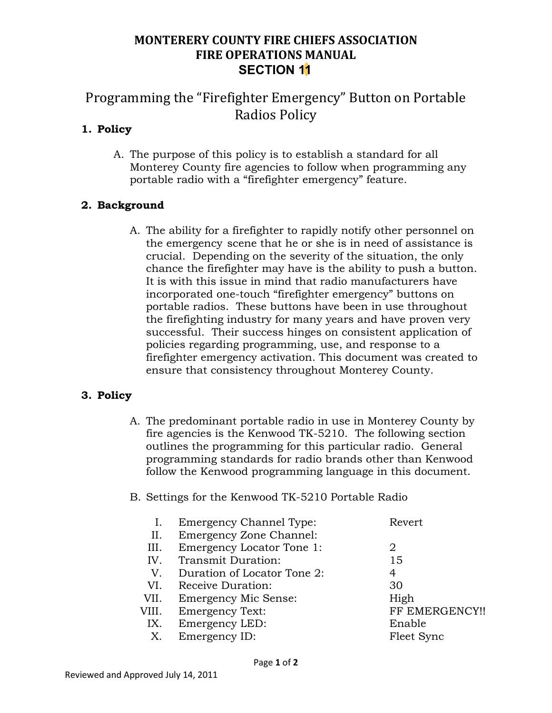## **MONTERERY COUNTY FIRE CHIEFS ASSOCIATION FIRE OPERATIONS MANUAL SECTION 11**

# Programming the "Firefighter Emergency" Button on Portable Radios Policy

## **1. Policy**

A. The purpose of this policy is to establish a standard for all Monterey County fire agencies to follow when programming any portable radio with a "firefighter emergency" feature.

### **2. Background**

A. The ability for a firefighter to rapidly notify other personnel on the emergency scene that he or she is in need of assistance is crucial. Depending on the severity of the situation, the only chance the firefighter may have is the ability to push a button. It is with this issue in mind that radio manufacturers have incorporated one-touch "firefighter emergency" buttons on portable radios. These buttons have been in use throughout the firefighting industry for many years and have proven very successful. Their success hinges on consistent application of policies regarding programming, use, and response to a firefighter emergency activation. This document was created to ensure that consistency throughout Monterey County.

#### **3. Policy**

A. The predominant portable radio in use in Monterey County by fire agencies is the Kenwood TK-5210. The following section outlines the programming for this particular radio. General programming standards for radio brands other than Kenwood follow the Kenwood programming language in this document.

#### B. Settings for the Kenwood TK-5210 Portable Radio

|       | <b>Emergency Channel Type:</b>   | Revert         |
|-------|----------------------------------|----------------|
| Ш.    | <b>Emergency Zone Channel:</b>   |                |
| III.  | <b>Emergency Locator Tone 1:</b> | 2              |
| IV.   | Transmit Duration:               | 15             |
| V.    | Duration of Locator Tone 2:      | 4              |
| VI.   | Receive Duration:                | 30             |
| VII.  | <b>Emergency Mic Sense:</b>      | High           |
| VIII. | <b>Emergency Text:</b>           | FF EMERGENCY!! |
| IX.   | Emergency LED:                   | Enable         |
| Х.    | Emergency ID:                    | Fleet Sync     |
|       |                                  |                |